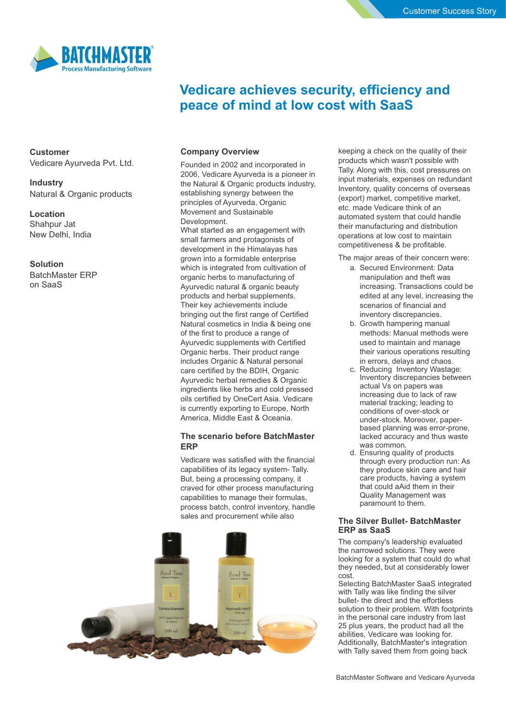

# **Vedicare achieves security, efficiency and peace of mind at low cost with SaaS**

**Customer** Vedicare Ayurveda Pvt. Ltd.

**Industry** Natural & Organic products

## **Location** Shahpur Jat New Delhi, India

## **Solution** BatchMaster ERP on SaaS

## **Company Overview**

Founded in 2002 and incorporated in 2006, Vedicare Ayurveda is a pioneer in the Natural & Organic products industry, establishing synergy between the principles of Ayurveda, Organic Movement and Sustainable Development. What started as an engagement with small farmers and protagonists of development in the Himalayas has grown into a formidable enterprise which is integrated from cultivation of organic herbs to manufacturing of Ayurvedic natural & organic beauty products and herbal supplements. Their key achievements include bringing out the first range of Certified Natural cosmetics in India & being one of the first to produce a range of Ayurvedic supplements with Certified Organic herbs. Their product range includes Organic & Natural personal care certified by the BDIH, Organic Ayurvedic herbal remedies & Organic ingredients like herbs and cold pressed oils certified by OneCert Asia. Vedicare is currently exporting to Europe, North America, Middle East & Oceania.

## **The scenario before BatchMaster ERP**

Vedicare was satisfied with the financial capabilities of its legacy system- Tally. But, being a processing company, it craved for other process manufacturing capabilities to manage their formulas, process batch, control inventory, handle sales and procurement while also



keeping a check on the quality of their products which wasn't possible with Tally. Along with this, cost pressures on input materials, expenses on redundant Inventory, quality concerns of overseas (export) market, competitive market, etc. made Vedicare think of an automated system that could handle their manufacturing and distribution operations at low cost to maintain competitiveness & be profitable.

The major areas of their concern were:

- a. Secured Environment: Data manipulation and theft was increasing. Transactions could be edited at any level, increasing the scenarios of financial and inventory discrepancies.
- b. Growth hampering manual methods: Manual methods were used to maintain and manage their various operations resulting in errors, delays and chaos.
- c. Reducing Inventory Wastage: Inventory discrepancies between actual Vs on papers was increasing due to lack of raw material tracking; leading to conditions of over-stock or under-stock. Moreover, paperbased planning was error-prone, lacked accuracy and thus waste was common.
- d. Ensuring quality of products through every production run: As they produce skin care and hair care products, having a system that could aAid them in their Quality Management was paramount to them.

## **The Silver Bullet- BatchMaster ERP as SaaS**

The company's leadership evaluated the narrowed solutions. They were looking for a system that could do what they needed, but at considerably lower cost.

Selecting BatchMaster SaaS integrated with Tally was like finding the silver bullet- the direct and the effortless solution to their problem. With footprints in the personal care industry from last 25 plus years, the product had all the abilities, Vedicare was looking for. Additionally, BatchMaster's integration with Tally saved them from going back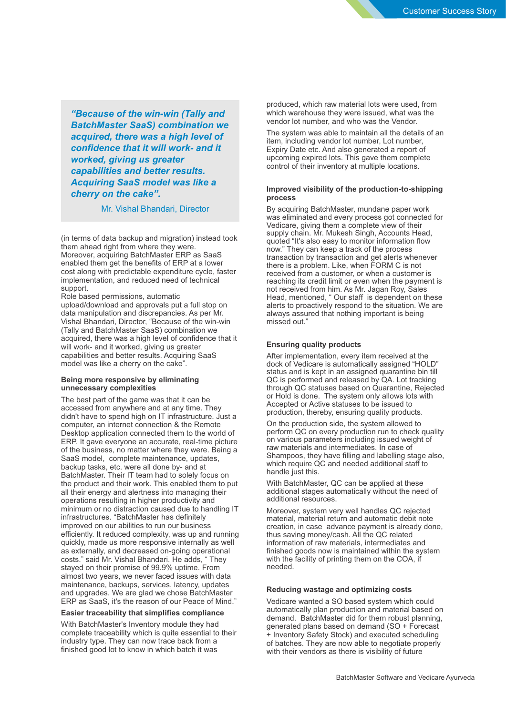*"Because of the win-win (Tally and BatchMaster SaaS) combination we acquired, there was a high level of confidence that it will work- and it worked, giving us greater capabilities and better results. Acquiring SaaS model was like a cherry on the cake".*

Mr. Vishal Bhandari, Director

(in terms of data backup and migration) instead took them ahead right from where they were. Moreover, acquiring BatchMaster ERP as SaaS enabled them get the benefits of ERP at a lower cost along with predictable expenditure cycle, faster implementation, and reduced need of technical support.

Role based permissions, automatic upload/download and approvals put a full stop on data manipulation and discrepancies. As per Mr. Vishal Bhandari, Director, "Because of the win-win (Tally and BatchMaster SaaS) combination we acquired, there was a high level of confidence that it will work- and it worked, giving us greater capabilities and better results. Acquiring SaaS model was like a cherry on the cake".

## **Being more responsive by eliminating unnecessary complexities**

The best part of the game was that it can be accessed from anywhere and at any time. They didn't have to spend high on IT infrastructure. Just a computer, an internet connection & the Remote Desktop application connected them to the world of ERP. It gave everyone an accurate, real-time picture of the business, no matter where they were. Being a SaaS model, complete maintenance, updates, backup tasks, etc. were all done by- and at BatchMaster. Their IT team had to solely focus on the product and their work. This enabled them to put all their energy and alertness into managing their operations resulting in higher productivity and minimum or no distraction caused due to handling IT infrastructures. "BatchMaster has definitely improved on our abilities to run our business efficiently. It reduced complexity, was up and running quickly, made us more responsive internally as well as externally, and decreased on-going operational costs." said Mr. Vishal Bhandari. He adds, " They stayed on their promise of 99.9% uptime. From almost two years, we never faced issues with data maintenance, backups, services, latency, updates and upgrades. We are glad we chose BatchMaster ERP as SaaS, it's the reason of our Peace of Mind."

#### **Easier traceability that simplifies compliance**

With BatchMaster's Inventory module they had complete traceability which is quite essential to their industry type. They can now trace back from a finished good lot to know in which batch it was

produced, which raw material lots were used, from which warehouse they were issued, what was the vendor lot number, and who was the Vendor.

The system was able to maintain all the details of an item, including vendor lot number, Lot number, Expiry Date etc. And also generated a report of upcoming expired lots. This gave them complete control of their inventory at multiple locations.

#### **Improved visibility of the production-to-shipping process**

By acquiring BatchMaster, mundane paper work was eliminated and every process got connected for Vedicare, giving them a complete view of their supply chain. Mr. Mukesh Singh, Accounts Head, quoted "It's also easy to monitor information flow now." They can keep a track of the process transaction by transaction and get alerts whenever there is a problem. Like, when FORM C is not received from a customer, or when a customer is reaching its credit limit or even when the payment is not received from him. As Mr. Jagan Roy, Sales Head, mentioned, " Our staff is dependent on these alerts to proactively respond to the situation. We are always assured that nothing important is being missed out."

#### **Ensuring quality products**

After implementation, every item received at the dock of Vedicare is automatically assigned "HOLD" status and is kept in an assigned quarantine bin till QC is performed and released by QA. Lot tracking through QC statuses based on Quarantine, Rejected or Hold is done. The system only allows lots with Accepted or Active statuses to be issued to production, thereby, ensuring quality products.

On the production side, the system allowed to perform QC on every production run to check quality on various parameters including issued weight of raw materials and intermediates. In case of Shampoos, they have filling and labelling stage also, which require QC and needed additional staff to handle just this.

With BatchMaster, QC can be applied at these additional stages automatically without the need of additional resources.

Moreover, system very well handles QC rejected material, material return and automatic debit note creation, in case advance payment is already done, thus saving money/cash. All the QC related information of raw materials, intermediates and finished goods now is maintained within the system with the facility of printing them on the COA, if needed.

## **Reducing wastage and optimizing costs**

Vedicare wanted a SO based system which could automatically plan production and material based on demand. BatchMaster did for them robust planning, generated plans based on demand (SO + Forecast + Inventory Safety Stock) and executed scheduling of batches. They are now able to negotiate properly with their vendors as there is visibility of future